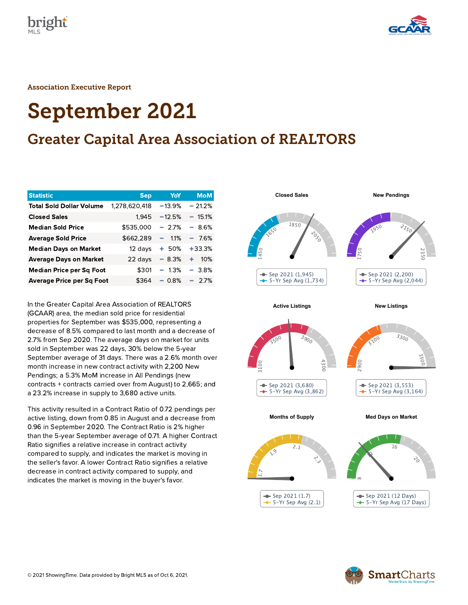



Association Executive Report

# September 2021

# Greater Capital Area Association of REALTORS

| <b>Statistic</b>                 | <b>Sep</b>    | YoY       | <b>MoM</b>  |
|----------------------------------|---------------|-----------|-------------|
| <b>Total Sold Dollar Volume</b>  | 1,278,620,418 | $-13.9%$  | $-21.2%$    |
| <b>Closed Sales</b>              | 1,945         | $-12.5%$  | $-15.1%$    |
| <b>Median Sold Price</b>         | \$535,000     | $-2.7%$   | $-8.6%$     |
| <b>Average Sold Price</b>        | \$662,289     | 1.1%<br>- | 7.6%<br>- 1 |
| <b>Median Days on Market</b>     | 12 days       | $+50%$    | $+33.3%$    |
| <b>Average Days on Market</b>    | 22 days       | $-8.3%$   | 10%<br>٠    |
| <b>Median Price per Sq Foot</b>  | \$301         | $-1.3\%$  | $-3.8%$     |
| <b>Average Price per Sq Foot</b> | \$364         | $-0.8%$   | 2.7%        |

In the Greater Capital Area Association of REALTORS (GCAAR) area, the median sold price for residential properties for September was \$535,000, representing a decrease of 8.5% compared to last month and a decrease of 2.7% from Sep 2020. The average days on market for units sold in September was 22 days, 30% below the 5-year September average of 31 days. There was a 2.6% month over month increase in new contract activity with 2,200 New Pendings; a 5.3% MoM increase in All Pendings (new contracts + contracts carried over from August) to 2,665; and a 23.2% increase in supply to 3,680 active units.

This activity resulted in a Contract Ratio of 0.72 pendings per active listing, down from 0.85 in August and a decrease from 0.96 in September 2020. The Contract Ratio is 2% higher than the 5-year September average of 0.71. A higher Contract Ratio signifies a relative increase in contract activity compared to supply, and indicates the market is moving in the seller's favor. A lower Contract Ratio signifies a relative decrease in contract activity compared to supply, and indicates the market is moving in the buyer's favor.



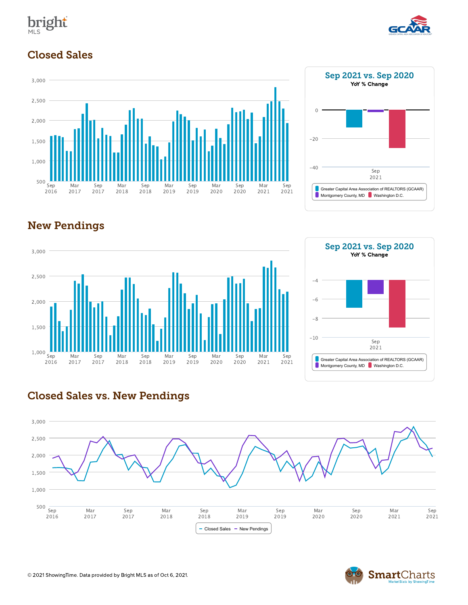



### Closed Sales











#### Closed Sales vs. New Pendings



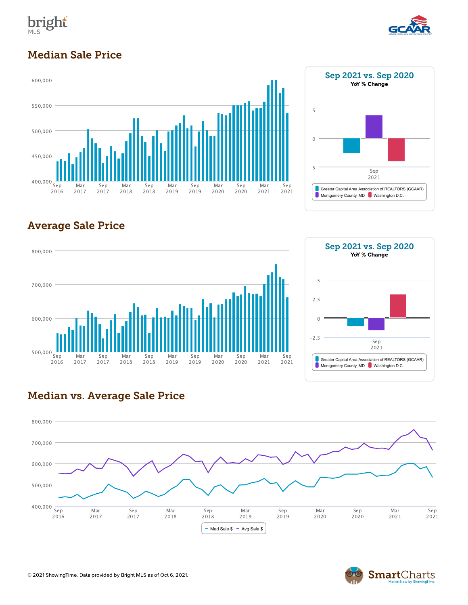



## Median Sale Price





# Average Sale Price





#### Median vs. Average Sale Price